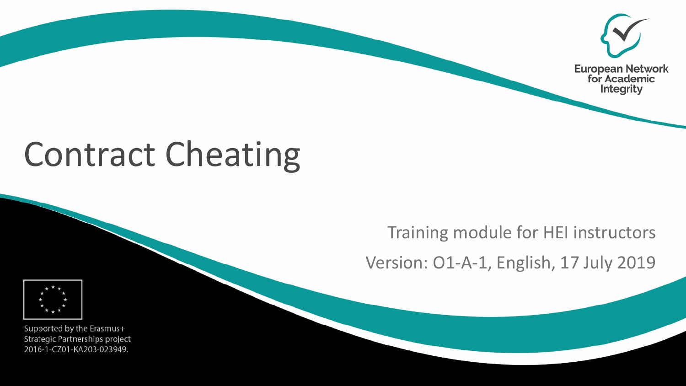

# Contract Cheating

#### Training module for HEI instructors

Version: O1-A-1, English, 17 July 2019



Supported by the Erasmus+ Strategic Partnerships project 2016-1-CZ01-KA203-023949.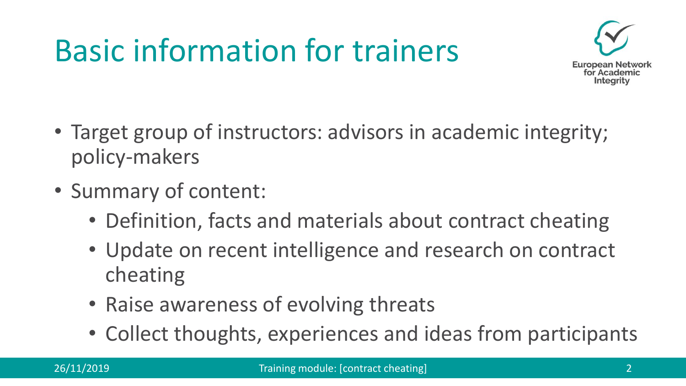# Basic information for trainers



- Target group of instructors: advisors in academic integrity; policy-makers
- Summary of content:
	- Definition, facts and materials about contract cheating
	- Update on recent intelligence and research on contract cheating
	- Raise awareness of evolving threats
	- Collect thoughts, experiences and ideas from participants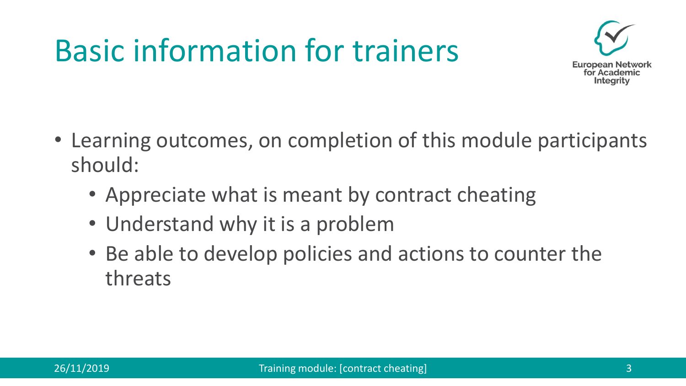## Basic information for trainers



- Learning outcomes, on completion of this module participants should:
	- Appreciate what is meant by contract cheating
	- Understand why it is a problem
	- Be able to develop policies and actions to counter the threats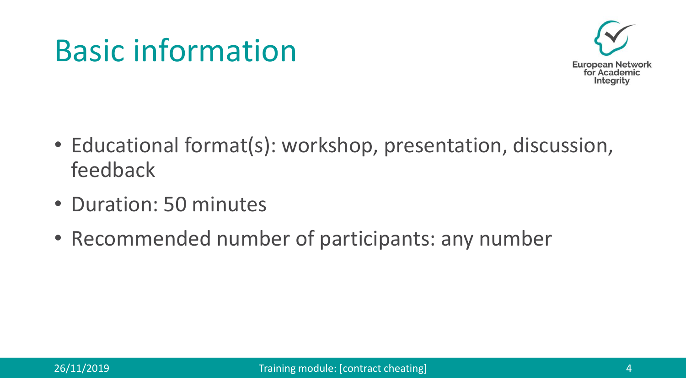#### Basic information



- Educational format(s): workshop, presentation, discussion, feedback
- Duration: 50 minutes
- Recommended number of participants: any number

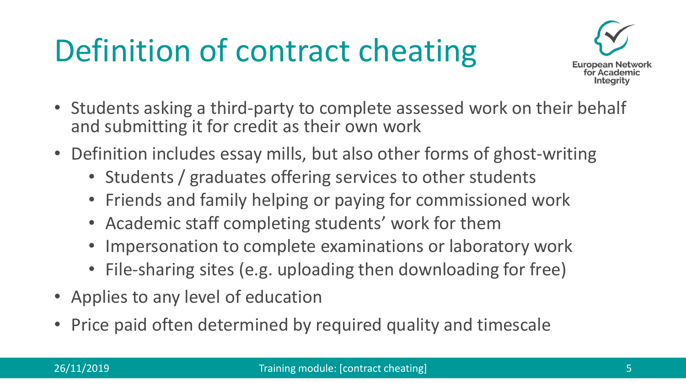# Definition of contract cheating



- Students asking a third-party to complete assessed work on their behalf and submitting it for credit as their own work
- Definition includes essay mills, but also other forms of ghost-writing
	- Students / graduates offering services to other students
	- Friends and family helping or paying for commissioned work
	- Academic staff completing students' work for them
	- Impersonation to complete examinations or laboratory work
	- File-sharing sites (e.g. uploading then downloading for free)
- Applies to any level of education
- Price paid often determined by required quality and timescale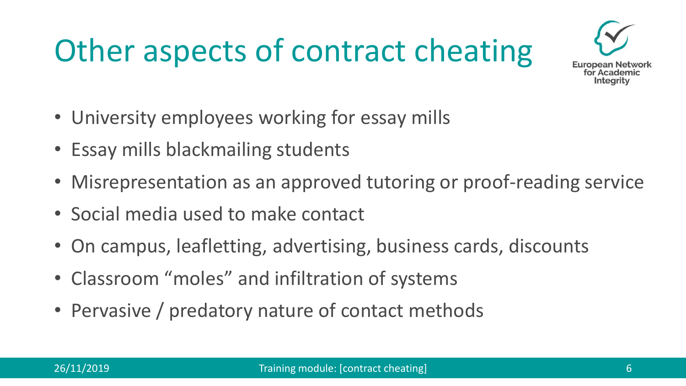# Other aspects of contract cheating



- University employees working for essay mills
- Essay mills blackmailing students
- Misrepresentation as an approved tutoring or proof-reading service
- Social media used to make contact
- On campus, leafletting, advertising, business cards, discounts
- Classroom "moles" and infiltration of systems
- Pervasive / predatory nature of contact methods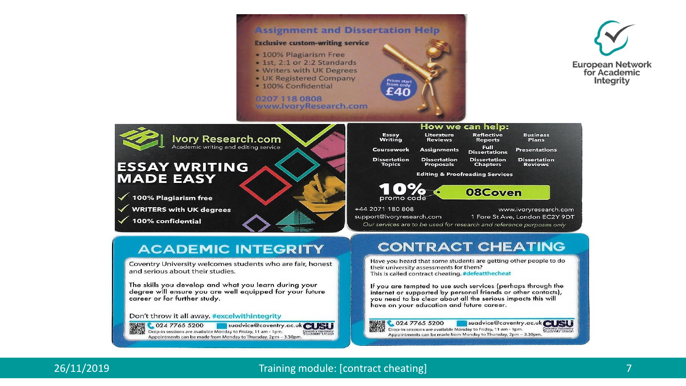

**导演場 C 024 7765 5200** Suadvice@coventry<br>冷凝器 Drop-in sessions are available Monday to Friday, 11 am - 1pm.

Appointments can be made from Monday to Thursday, 2pm - 3.30pm

suadvice@coventry.ac.uk CLISI

Don't throw it all away, #excelwithintegrity

024 7765 5200 suadvice@coventry.ac.uk CLISLI Drop-in sessions are available Monday to Friday, 11 am - 1pm. Soventry Universit<br>Students' Unior Appointments can be made from Monday to Thursday, 2pm - 3.30pm.

#### 26/11/2019 Training module: [contract cheating] 7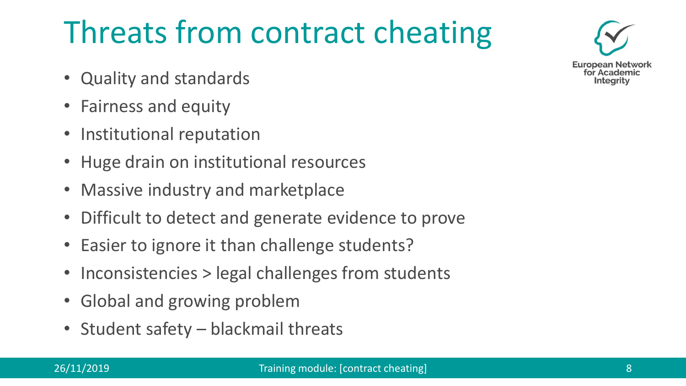# Threats from contract cheating

- Quality and standards
- Fairness and equity
- Institutional reputation
- Huge drain on institutional resources
- Massive industry and marketplace
- Difficult to detect and generate evidence to prove
- Easier to ignore it than challenge students?
- Inconsistencies > legal challenges from students
- Global and growing problem
- Student safety blackmail threats

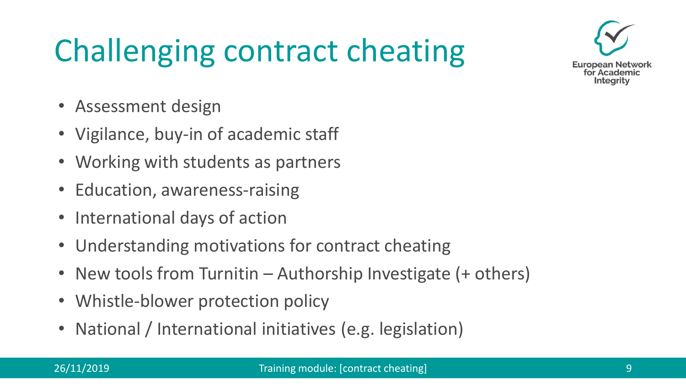# Challenging contract cheating



- Assessment design
- Vigilance, buy-in of academic staff
- Working with students as partners
- Education, awareness-raising
- International days of action
- Understanding motivations for contract cheating
- New tools from Turnitin Authorship Investigate  $(+)$  others)
- Whistle-blower protection policy
- National / International initiatives (e.g. legislation)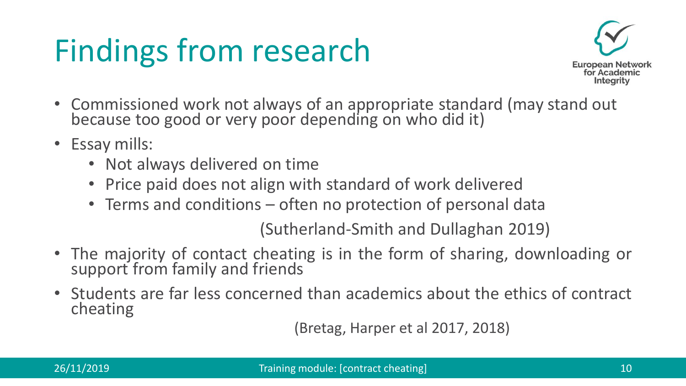# Findings from research



- Commissioned work not always of an appropriate standard (may stand out because too good or very poor depending on who did it)
- Essay mills:
	- Not always delivered on time
	- Price paid does not align with standard of work delivered
	- Terms and conditions often no protection of personal data

(Sutherland-Smith and Dullaghan 2019)

- The majority of contact cheating is in the form of sharing, downloading or support from family and friends
- Students are far less concerned than academics about the ethics of contract cheating

(Bretag, Harper et al 2017, 2018)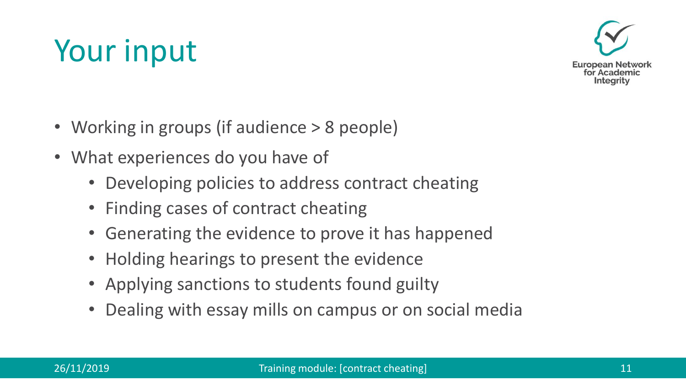### Your input



- Working in groups (if audience > 8 people)
- What experiences do you have of
	- Developing policies to address contract cheating
	- Finding cases of contract cheating
	- Generating the evidence to prove it has happened
	- Holding hearings to present the evidence
	- Applying sanctions to students found guilty
	- Dealing with essay mills on campus or on social media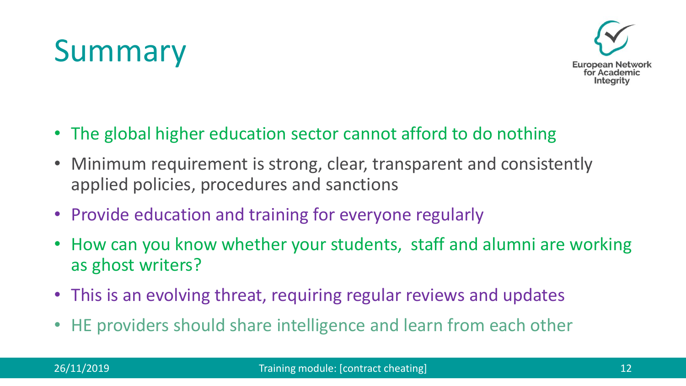#### Summary



- The global higher education sector cannot afford to do nothing
- Minimum requirement is strong, clear, transparent and consistently applied policies, procedures and sanctions
- Provide education and training for everyone regularly
- How can you know whether your students, staff and alumni are working as ghost writers?
- This is an evolving threat, requiring regular reviews and updates
- HE providers should share intelligence and learn from each other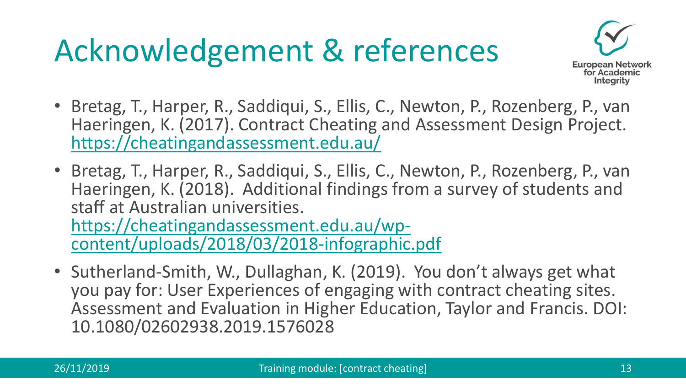# Acknowledgement & references



- Bretag, T., Harper, R., Saddiqui, S., Ellis, C., Newton, P., Rozenberg, P., van Haeringen, K. (2017). Contract Cheating and Assessment Design Project. <https://cheatingandassessment.edu.au/>
- Bretag, T., Harper, R., Saddiqui, S., Ellis, C., Newton, P., Rozenberg, P., van Haeringen, K. (2018). Additional findings from a survey of students and staff at Australian universities. https://cheatingandassessment.edu.au/wp[content/uploads/2018/03/2018-infographic.pdf](https://cheatingandassessment.edu.au/wp-content/uploads/2018/03/2018-infographic.pdf)
- Sutherland-Smith, W., Dullaghan, K. (2019). You don't always get what you pay for: User Experiences of engaging with contract cheating sites. Assessment and Evaluation in Higher Education, Taylor and Francis. DOI: 10.1080/02602938.2019.1576028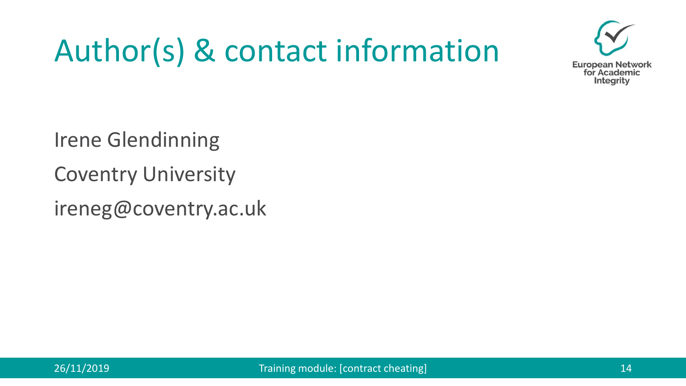# Author(s) & contact information



Irene Glendinning

Coventry University

ireneg@coventry.ac.uk